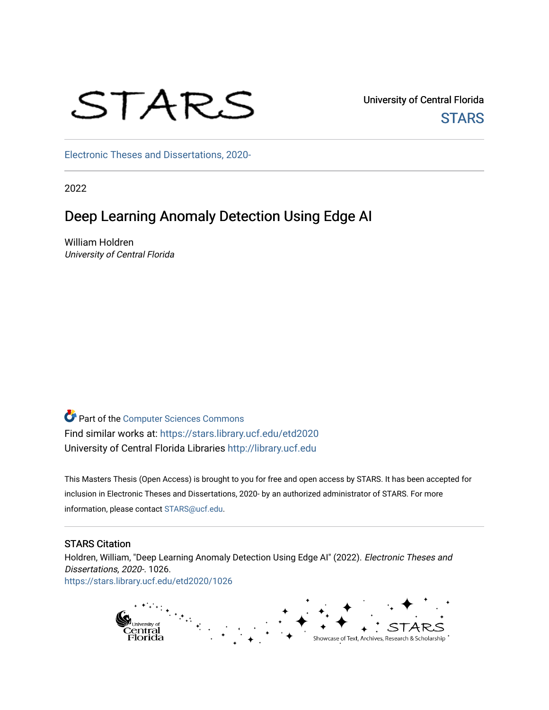# STARS

University of Central Florida **STARS** 

[Electronic Theses and Dissertations, 2020-](https://stars.library.ucf.edu/etd2020) 

2022

# Deep Learning Anomaly Detection Using Edge AI

William Holdren University of Central Florida

Part of the [Computer Sciences Commons](https://network.bepress.com/hgg/discipline/142?utm_source=stars.library.ucf.edu%2Fetd2020%2F1026&utm_medium=PDF&utm_campaign=PDFCoverPages) Find similar works at: <https://stars.library.ucf.edu/etd2020> University of Central Florida Libraries [http://library.ucf.edu](http://library.ucf.edu/) 

This Masters Thesis (Open Access) is brought to you for free and open access by STARS. It has been accepted for inclusion in Electronic Theses and Dissertations, 2020- by an authorized administrator of STARS. For more information, please contact [STARS@ucf.edu.](mailto:STARS@ucf.edu)

## STARS Citation

Holdren, William, "Deep Learning Anomaly Detection Using Edge AI" (2022). Electronic Theses and Dissertations, 2020-. 1026. [https://stars.library.ucf.edu/etd2020/1026](https://stars.library.ucf.edu/etd2020/1026?utm_source=stars.library.ucf.edu%2Fetd2020%2F1026&utm_medium=PDF&utm_campaign=PDFCoverPages)

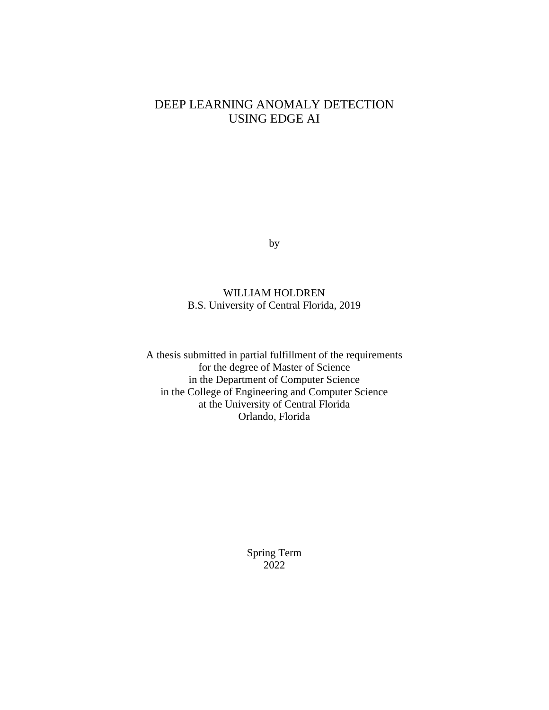# DEEP LEARNING ANOMALY DETECTION USING EDGE AI

by

## WILLIAM HOLDREN B.S. University of Central Florida, 2019

A thesis submitted in partial fulfillment of the requirements for the degree of Master of Science in the Department of Computer Science in the College of Engineering and Computer Science at the University of Central Florida Orlando, Florida

> Spring Term 2022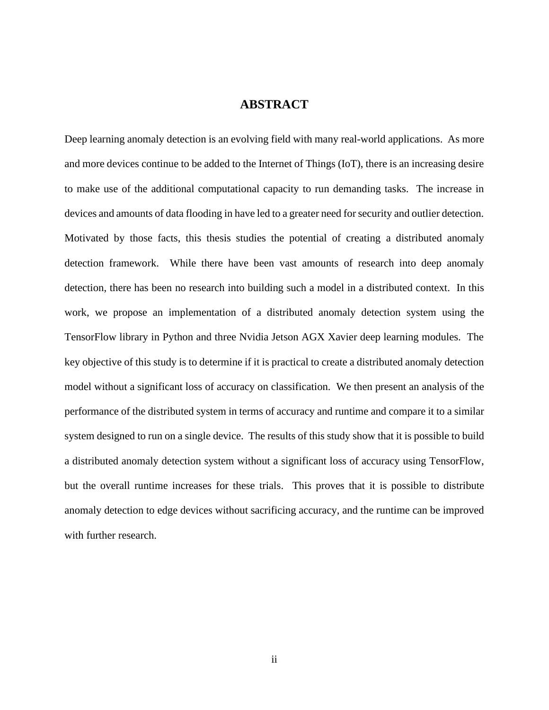## **ABSTRACT**

Deep learning anomaly detection is an evolving field with many real-world applications. As more and more devices continue to be added to the Internet of Things (IoT), there is an increasing desire to make use of the additional computational capacity to run demanding tasks. The increase in devices and amounts of data flooding in have led to a greater need for security and outlier detection. Motivated by those facts, this thesis studies the potential of creating a distributed anomaly detection framework. While there have been vast amounts of research into deep anomaly detection, there has been no research into building such a model in a distributed context. In this work, we propose an implementation of a distributed anomaly detection system using the TensorFlow library in Python and three Nvidia Jetson AGX Xavier deep learning modules. The key objective of this study is to determine if it is practical to create a distributed anomaly detection model without a significant loss of accuracy on classification. We then present an analysis of the performance of the distributed system in terms of accuracy and runtime and compare it to a similar system designed to run on a single device. The results of this study show that it is possible to build a distributed anomaly detection system without a significant loss of accuracy using TensorFlow, but the overall runtime increases for these trials. This proves that it is possible to distribute anomaly detection to edge devices without sacrificing accuracy, and the runtime can be improved with further research.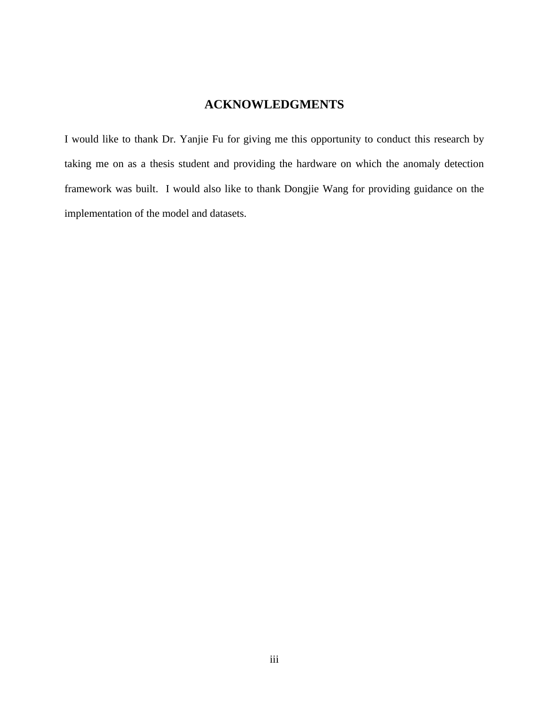# **ACKNOWLEDGMENTS**

I would like to thank Dr. Yanjie Fu for giving me this opportunity to conduct this research by taking me on as a thesis student and providing the hardware on which the anomaly detection framework was built. I would also like to thank Dongjie Wang for providing guidance on the implementation of the model and datasets.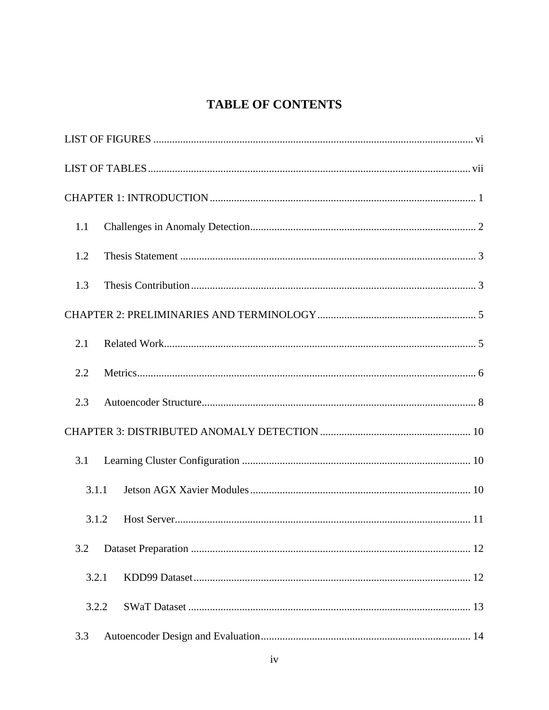# **TABLE OF CONTENTS**

| 1.1   |
|-------|
| 1.2   |
| 1.3   |
|       |
| 2.1   |
| 2.2   |
| 2.3   |
|       |
| 3.1   |
| 3.1.1 |
| 3.1.2 |
| 3.2   |
| 3.2.1 |
| 3.2.2 |
| 3.3   |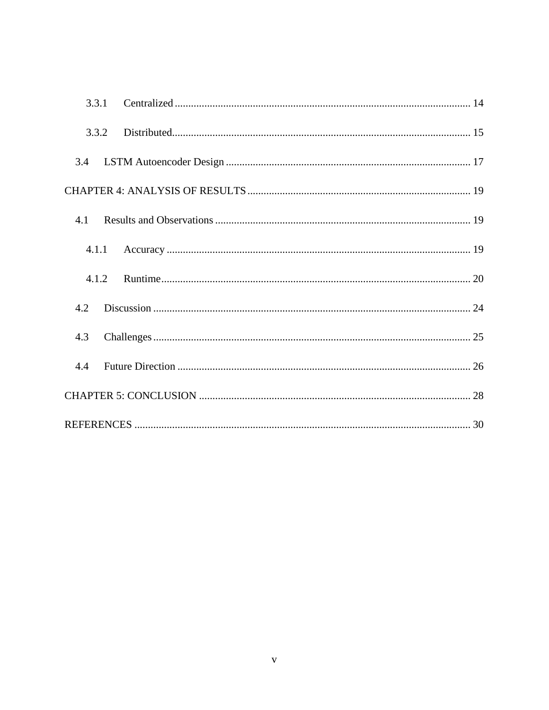| 3.3.1 |  |
|-------|--|
| 3.3.2 |  |
| 3.4   |  |
|       |  |
| 4.1   |  |
|       |  |
| 4.1.2 |  |
| 4.2   |  |
| 4.3   |  |
| 4.4   |  |
|       |  |
|       |  |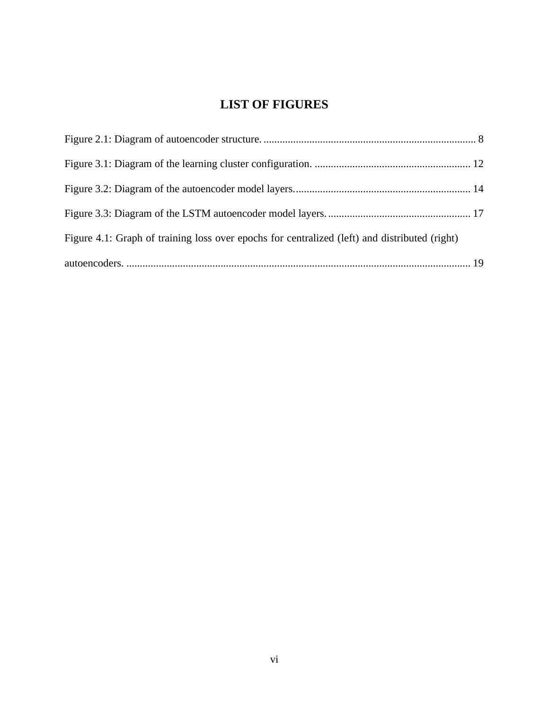# **LIST OF FIGURES**

<span id="page-6-0"></span>

| Figure 4.1: Graph of training loss over epochs for centralized (left) and distributed (right) |  |
|-----------------------------------------------------------------------------------------------|--|
|                                                                                               |  |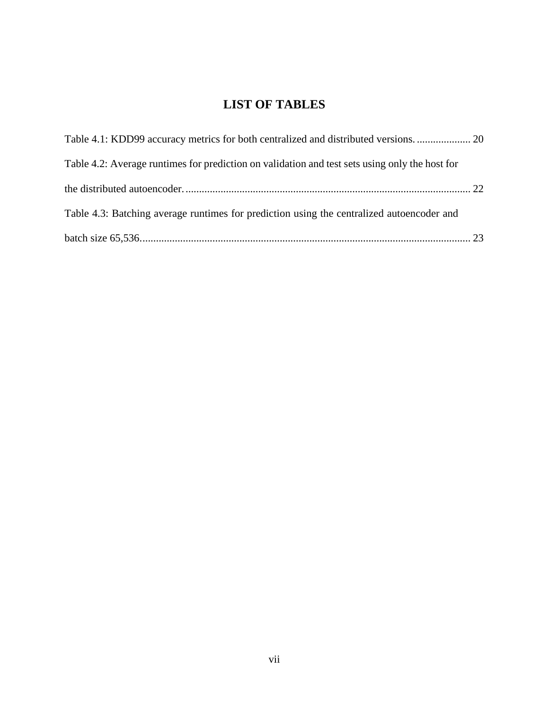# **LIST OF TABLES**

<span id="page-7-0"></span>

| Table 4.1: KDD99 accuracy metrics for both centralized and distributed versions.  20           |  |
|------------------------------------------------------------------------------------------------|--|
| Table 4.2: Average runtimes for prediction on validation and test sets using only the host for |  |
|                                                                                                |  |
| Table 4.3: Batching average runtimes for prediction using the centralized autoencoder and      |  |
|                                                                                                |  |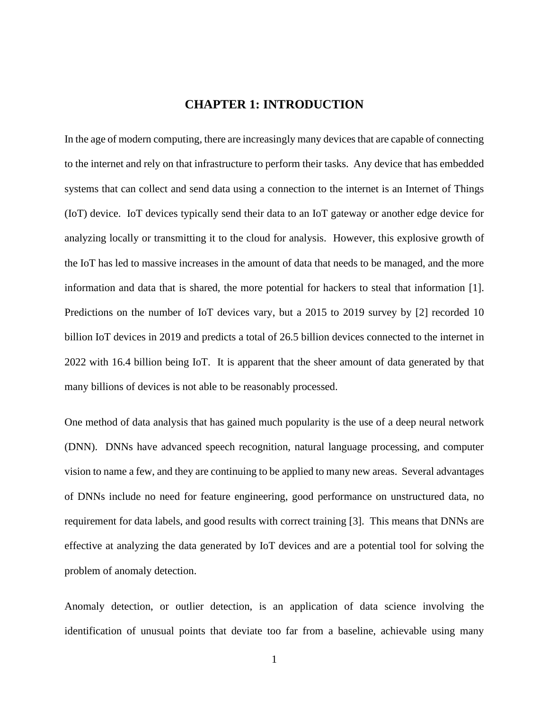# **CHAPTER 1: INTRODUCTION**

<span id="page-8-0"></span>In the age of modern computing, there are increasingly many devices that are capable of connecting to the internet and rely on that infrastructure to perform their tasks. Any device that has embedded systems that can collect and send data using a connection to the internet is an Internet of Things (IoT) device. IoT devices typically send their data to an IoT gateway or another edge device for analyzing locally or transmitting it to the cloud for analysis. However, this explosive growth of the IoT has led to massive increases in the amount of data that needs to be managed, and the more information and data that is shared, the more potential for hackers to steal that information [1]. Predictions on the number of IoT devices vary, but a 2015 to 2019 survey by [2] recorded 10 billion IoT devices in 2019 and predicts a total of 26.5 billion devices connected to the internet in 2022 with 16.4 billion being IoT. It is apparent that the sheer amount of data generated by that many billions of devices is not able to be reasonably processed.

One method of data analysis that has gained much popularity is the use of a deep neural network (DNN). DNNs have advanced speech recognition, natural language processing, and computer vision to name a few, and they are continuing to be applied to many new areas. Several advantages of DNNs include no need for feature engineering, good performance on unstructured data, no requirement for data labels, and good results with correct training [3]. This means that DNNs are effective at analyzing the data generated by IoT devices and are a potential tool for solving the problem of anomaly detection.

Anomaly detection, or outlier detection, is an application of data science involving the identification of unusual points that deviate too far from a baseline, achievable using many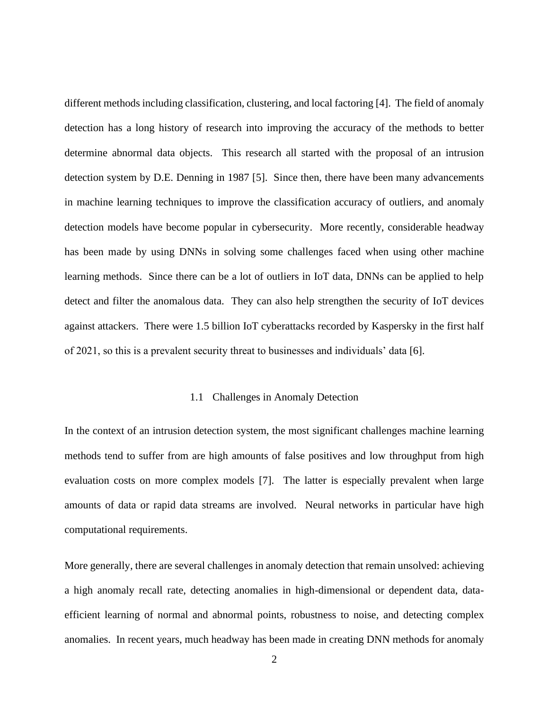different methods including classification, clustering, and local factoring [4]. The field of anomaly detection has a long history of research into improving the accuracy of the methods to better determine abnormal data objects. This research all started with the proposal of an intrusion detection system by D.E. Denning in 1987 [5]. Since then, there have been many advancements in machine learning techniques to improve the classification accuracy of outliers, and anomaly detection models have become popular in cybersecurity. More recently, considerable headway has been made by using DNNs in solving some challenges faced when using other machine learning methods. Since there can be a lot of outliers in IoT data, DNNs can be applied to help detect and filter the anomalous data. They can also help strengthen the security of IoT devices against attackers. There were 1.5 billion IoT cyberattacks recorded by Kaspersky in the first half of 2021, so this is a prevalent security threat to businesses and individuals' data [6].

#### 1.1 Challenges in Anomaly Detection

<span id="page-9-0"></span>In the context of an intrusion detection system, the most significant challenges machine learning methods tend to suffer from are high amounts of false positives and low throughput from high evaluation costs on more complex models [7]. The latter is especially prevalent when large amounts of data or rapid data streams are involved. Neural networks in particular have high computational requirements.

More generally, there are several challenges in anomaly detection that remain unsolved: achieving a high anomaly recall rate, detecting anomalies in high-dimensional or dependent data, dataefficient learning of normal and abnormal points, robustness to noise, and detecting complex anomalies. In recent years, much headway has been made in creating DNN methods for anomaly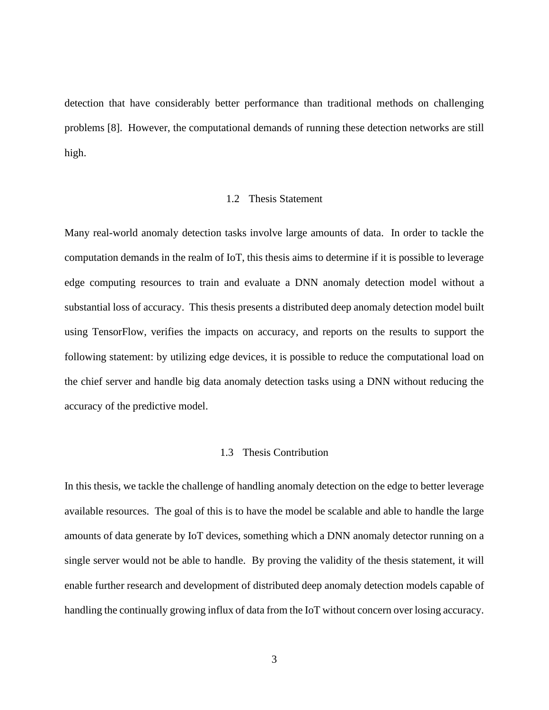detection that have considerably better performance than traditional methods on challenging problems [8]. However, the computational demands of running these detection networks are still high.

#### 1.2 Thesis Statement

<span id="page-10-0"></span>Many real-world anomaly detection tasks involve large amounts of data. In order to tackle the computation demands in the realm of IoT, this thesis aims to determine if it is possible to leverage edge computing resources to train and evaluate a DNN anomaly detection model without a substantial loss of accuracy. This thesis presents a distributed deep anomaly detection model built using TensorFlow, verifies the impacts on accuracy, and reports on the results to support the following statement: by utilizing edge devices, it is possible to reduce the computational load on the chief server and handle big data anomaly detection tasks using a DNN without reducing the accuracy of the predictive model.

#### 1.3 Thesis Contribution

<span id="page-10-1"></span>In this thesis, we tackle the challenge of handling anomaly detection on the edge to better leverage available resources. The goal of this is to have the model be scalable and able to handle the large amounts of data generate by IoT devices, something which a DNN anomaly detector running on a single server would not be able to handle. By proving the validity of the thesis statement, it will enable further research and development of distributed deep anomaly detection models capable of handling the continually growing influx of data from the IoT without concern over losing accuracy.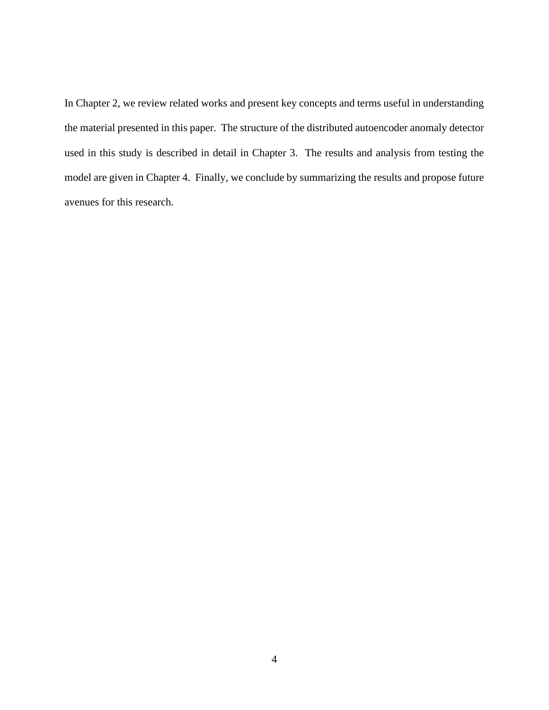In Chapter 2, we review related works and present key concepts and terms useful in understanding the material presented in this paper. The structure of the distributed autoencoder anomaly detector used in this study is described in detail in Chapter 3. The results and analysis from testing the model are given in Chapter 4. Finally, we conclude by summarizing the results and propose future avenues for this research.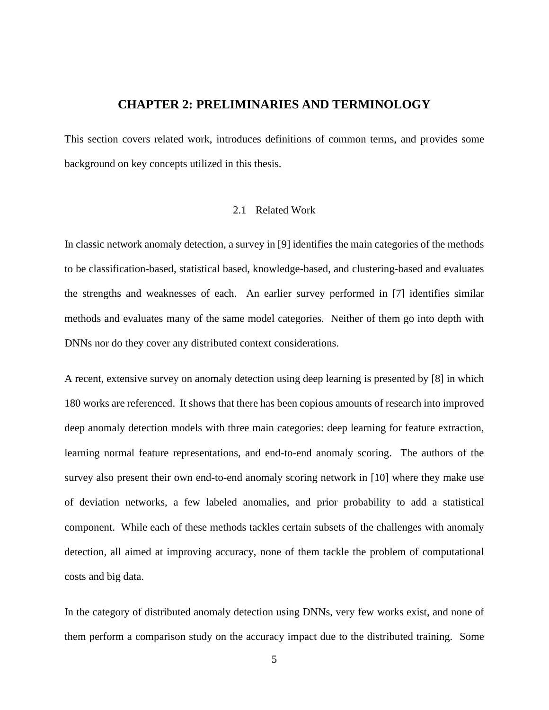# **CHAPTER 2: PRELIMINARIES AND TERMINOLOGY**

<span id="page-12-0"></span>This section covers related work, introduces definitions of common terms, and provides some background on key concepts utilized in this thesis.

#### 2.1 Related Work

<span id="page-12-1"></span>In classic network anomaly detection, a survey in [9] identifies the main categories of the methods to be classification-based, statistical based, knowledge-based, and clustering-based and evaluates the strengths and weaknesses of each. An earlier survey performed in [7] identifies similar methods and evaluates many of the same model categories. Neither of them go into depth with DNNs nor do they cover any distributed context considerations.

A recent, extensive survey on anomaly detection using deep learning is presented by [8] in which 180 works are referenced. It shows that there has been copious amounts of research into improved deep anomaly detection models with three main categories: deep learning for feature extraction, learning normal feature representations, and end-to-end anomaly scoring. The authors of the survey also present their own end-to-end anomaly scoring network in [10] where they make use of deviation networks, a few labeled anomalies, and prior probability to add a statistical component. While each of these methods tackles certain subsets of the challenges with anomaly detection, all aimed at improving accuracy, none of them tackle the problem of computational costs and big data.

In the category of distributed anomaly detection using DNNs, very few works exist, and none of them perform a comparison study on the accuracy impact due to the distributed training. Some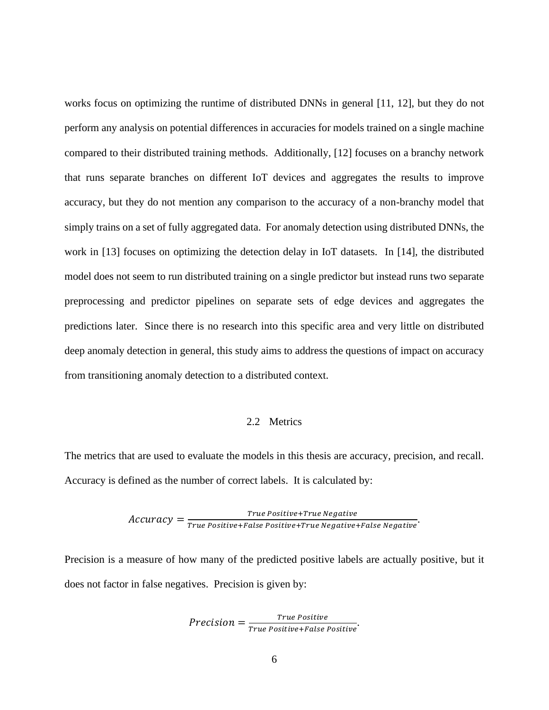works focus on optimizing the runtime of distributed DNNs in general [11, 12], but they do not perform any analysis on potential differences in accuracies for models trained on a single machine compared to their distributed training methods. Additionally, [12] focuses on a branchy network that runs separate branches on different IoT devices and aggregates the results to improve accuracy, but they do not mention any comparison to the accuracy of a non-branchy model that simply trains on a set of fully aggregated data. For anomaly detection using distributed DNNs, the work in [13] focuses on optimizing the detection delay in IoT datasets. In [14], the distributed model does not seem to run distributed training on a single predictor but instead runs two separate preprocessing and predictor pipelines on separate sets of edge devices and aggregates the predictions later. Since there is no research into this specific area and very little on distributed deep anomaly detection in general, this study aims to address the questions of impact on accuracy from transitioning anomaly detection to a distributed context.

#### 2.2 Metrics

<span id="page-13-0"></span>The metrics that are used to evaluate the models in this thesis are accuracy, precision, and recall. Accuracy is defined as the number of correct labels. It is calculated by:

$$
Accuracy = \frac{True \ Positive + True \ Negative}{True \ Positive + False \ Positive + True \ Negative + False \ Negative}
$$

Precision is a measure of how many of the predicted positive labels are actually positive, but it does not factor in false negatives. Precision is given by:

$$
Precision = \frac{True \, Positive}{True \, Positive+False \, Positive}.
$$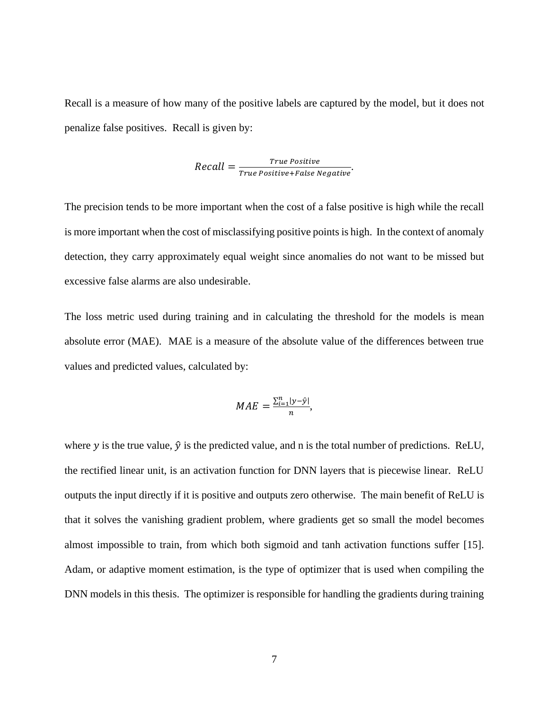Recall is a measure of how many of the positive labels are captured by the model, but it does not penalize false positives. Recall is given by:

$$
Recall = \frac{True \, Positive}{True \, Positive+False \, Negative}.
$$

The precision tends to be more important when the cost of a false positive is high while the recall is more important when the cost of misclassifying positive points is high. In the context of anomaly detection, they carry approximately equal weight since anomalies do not want to be missed but excessive false alarms are also undesirable.

The loss metric used during training and in calculating the threshold for the models is mean absolute error (MAE). MAE is a measure of the absolute value of the differences between true values and predicted values, calculated by:

$$
MAE = \frac{\sum_{i=1}^{n} |y - \hat{y}|}{n},
$$

where y is the true value,  $\hat{y}$  is the predicted value, and n is the total number of predictions. ReLU, the rectified linear unit, is an activation function for DNN layers that is piecewise linear. ReLU outputs the input directly if it is positive and outputs zero otherwise. The main benefit of ReLU is that it solves the vanishing gradient problem, where gradients get so small the model becomes almost impossible to train, from which both sigmoid and tanh activation functions suffer [15]. Adam, or adaptive moment estimation, is the type of optimizer that is used when compiling the DNN models in this thesis. The optimizer is responsible for handling the gradients during training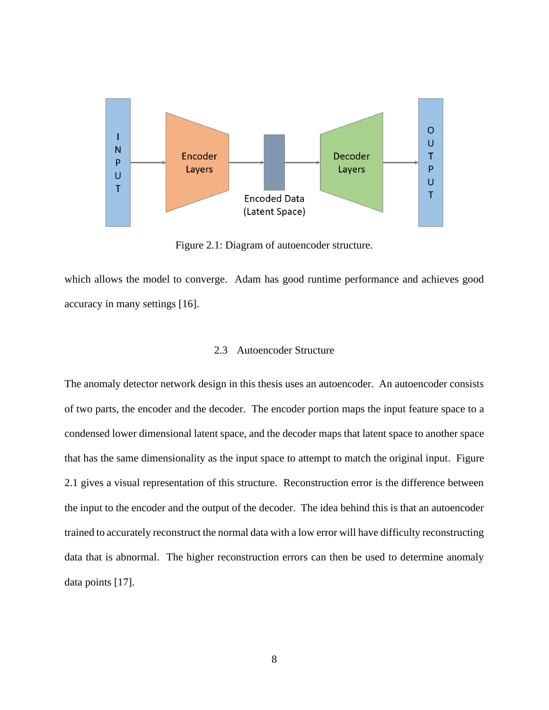

Figure 2.1: Diagram of autoencoder structure.

<span id="page-15-1"></span>which allows the model to converge. Adam has good runtime performance and achieves good accuracy in many settings [16].

#### 2.3 Autoencoder Structure

<span id="page-15-0"></span>The anomaly detector network design in this thesis uses an autoencoder. An autoencoder consists of two parts, the encoder and the decoder. The encoder portion maps the input feature space to a condensed lower dimensional latent space, and the decoder maps that latent space to another space that has the same dimensionality as the input space to attempt to match the original input. Figure 2.1 gives a visual representation of this structure. Reconstruction error is the difference between the input to the encoder and the output of the decoder. The idea behind this is that an autoencoder trained to accurately reconstruct the normal data with a low error will have difficulty reconstructing data that is abnormal. The higher reconstruction errors can then be used to determine anomaly data points [17].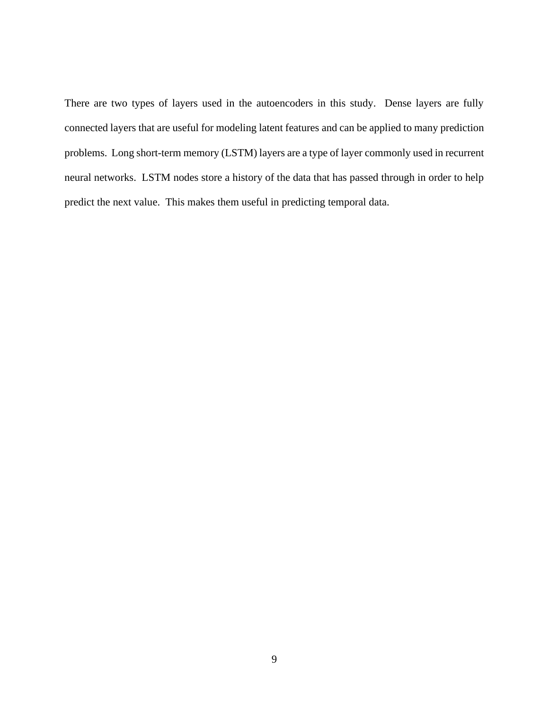There are two types of layers used in the autoencoders in this study. Dense layers are fully connected layers that are useful for modeling latent features and can be applied to many prediction problems. Long short-term memory (LSTM) layers are a type of layer commonly used in recurrent neural networks. LSTM nodes store a history of the data that has passed through in order to help predict the next value. This makes them useful in predicting temporal data.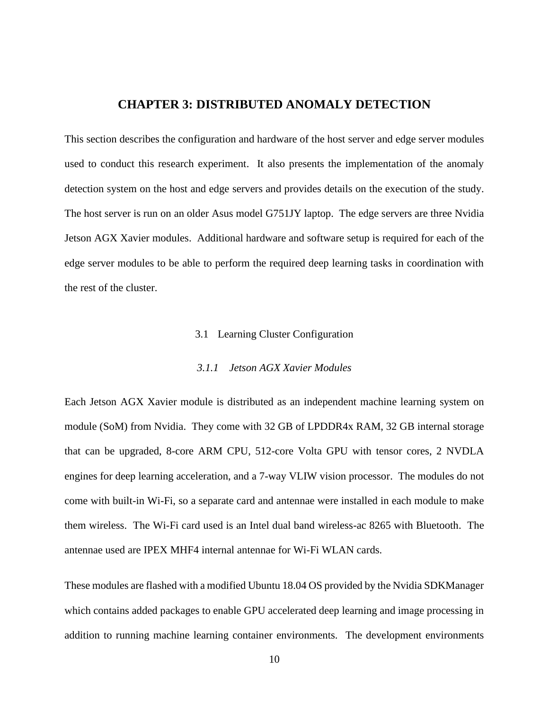# **CHAPTER 3: DISTRIBUTED ANOMALY DETECTION**

<span id="page-17-0"></span>This section describes the configuration and hardware of the host server and edge server modules used to conduct this research experiment. It also presents the implementation of the anomaly detection system on the host and edge servers and provides details on the execution of the study. The host server is run on an older Asus model G751JY laptop. The edge servers are three Nvidia Jetson AGX Xavier modules. Additional hardware and software setup is required for each of the edge server modules to be able to perform the required deep learning tasks in coordination with the rest of the cluster.

#### 3.1 Learning Cluster Configuration

#### *3.1.1 Jetson AGX Xavier Modules*

<span id="page-17-2"></span><span id="page-17-1"></span>Each Jetson AGX Xavier module is distributed as an independent machine learning system on module (SoM) from Nvidia. They come with 32 GB of LPDDR4x RAM, 32 GB internal storage that can be upgraded, 8-core ARM CPU, 512-core Volta GPU with tensor cores, 2 NVDLA engines for deep learning acceleration, and a 7-way VLIW vision processor. The modules do not come with built-in Wi-Fi, so a separate card and antennae were installed in each module to make them wireless. The Wi-Fi card used is an Intel dual band wireless-ac 8265 with Bluetooth. The antennae used are IPEX MHF4 internal antennae for Wi-Fi WLAN cards.

These modules are flashed with a modified Ubuntu 18.04 OS provided by the Nvidia SDKManager which contains added packages to enable GPU accelerated deep learning and image processing in addition to running machine learning container environments. The development environments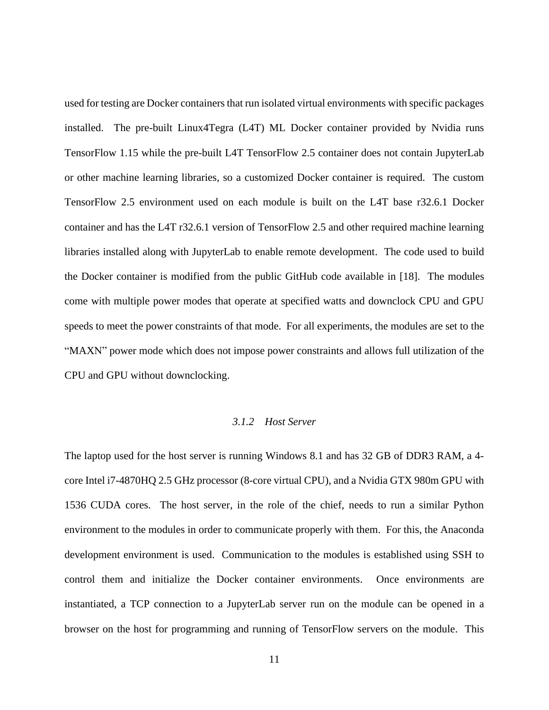used for testing are Docker containers that run isolated virtual environments with specific packages installed. The pre-built Linux4Tegra (L4T) ML Docker container provided by Nvidia runs TensorFlow 1.15 while the pre-built L4T TensorFlow 2.5 container does not contain JupyterLab or other machine learning libraries, so a customized Docker container is required. The custom TensorFlow 2.5 environment used on each module is built on the L4T base r32.6.1 Docker container and has the L4T r32.6.1 version of TensorFlow 2.5 and other required machine learning libraries installed along with JupyterLab to enable remote development. The code used to build the Docker container is modified from the public GitHub code available in [18]. The modules come with multiple power modes that operate at specified watts and downclock CPU and GPU speeds to meet the power constraints of that mode. For all experiments, the modules are set to the "MAXN" power mode which does not impose power constraints and allows full utilization of the CPU and GPU without downclocking.

#### *3.1.2 Host Server*

<span id="page-18-0"></span>The laptop used for the host server is running Windows 8.1 and has 32 GB of DDR3 RAM, a 4 core Intel i7-4870HQ 2.5 GHz processor (8-core virtual CPU), and a Nvidia GTX 980m GPU with 1536 CUDA cores. The host server, in the role of the chief, needs to run a similar Python environment to the modules in order to communicate properly with them. For this, the Anaconda development environment is used. Communication to the modules is established using SSH to control them and initialize the Docker container environments. Once environments are instantiated, a TCP connection to a JupyterLab server run on the module can be opened in a browser on the host for programming and running of TensorFlow servers on the module. This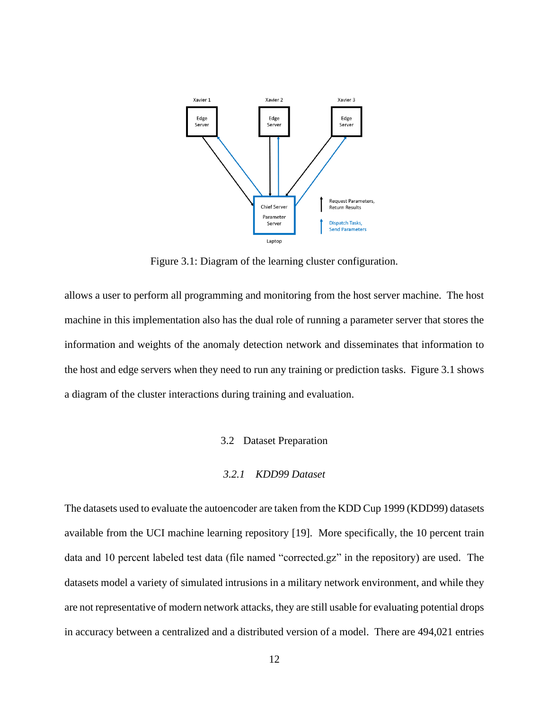

Figure 3.1: Diagram of the learning cluster configuration.

<span id="page-19-2"></span>allows a user to perform all programming and monitoring from the host server machine. The host machine in this implementation also has the dual role of running a parameter server that stores the information and weights of the anomaly detection network and disseminates that information to the host and edge servers when they need to run any training or prediction tasks. Figure 3.1 shows a diagram of the cluster interactions during training and evaluation.

#### 3.2 Dataset Preparation

#### *3.2.1 KDD99 Dataset*

<span id="page-19-1"></span><span id="page-19-0"></span>The datasets used to evaluate the autoencoder are taken from the KDD Cup 1999 (KDD99) datasets available from the UCI machine learning repository [19]. More specifically, the 10 percent train data and 10 percent labeled test data (file named "corrected.gz" in the repository) are used. The datasets model a variety of simulated intrusions in a military network environment, and while they are not representative of modern network attacks, they are still usable for evaluating potential drops in accuracy between a centralized and a distributed version of a model. There are 494,021 entries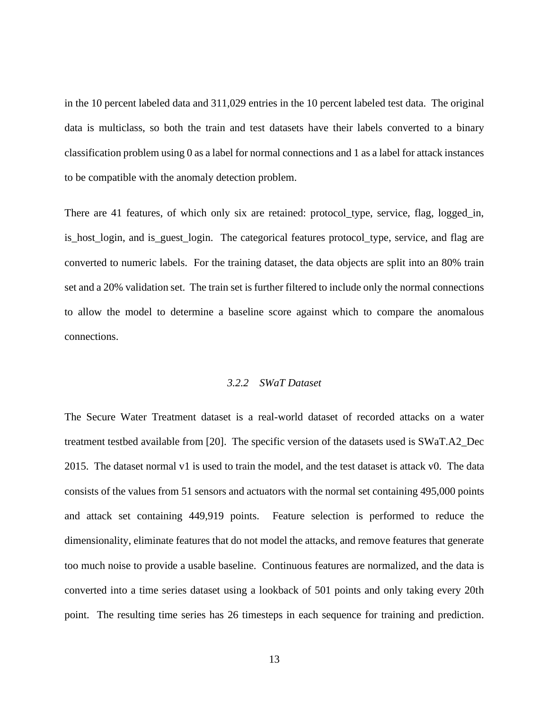in the 10 percent labeled data and 311,029 entries in the 10 percent labeled test data. The original data is multiclass, so both the train and test datasets have their labels converted to a binary classification problem using 0 as a label for normal connections and 1 as a label for attack instances to be compatible with the anomaly detection problem.

There are 41 features, of which only six are retained: protocol\_type, service, flag, logged\_in, is host login, and is guest login. The categorical features protocol type, service, and flag are converted to numeric labels. For the training dataset, the data objects are split into an 80% train set and a 20% validation set. The train set is further filtered to include only the normal connections to allow the model to determine a baseline score against which to compare the anomalous connections.

## *3.2.2 SWaT Dataset*

<span id="page-20-0"></span>The Secure Water Treatment dataset is a real-world dataset of recorded attacks on a water treatment testbed available from [20]. The specific version of the datasets used is SWaT.A2\_Dec 2015. The dataset normal v1 is used to train the model, and the test dataset is attack v0. The data consists of the values from 51 sensors and actuators with the normal set containing 495,000 points and attack set containing 449,919 points. Feature selection is performed to reduce the dimensionality, eliminate features that do not model the attacks, and remove features that generate too much noise to provide a usable baseline. Continuous features are normalized, and the data is converted into a time series dataset using a lookback of 501 points and only taking every 20th point. The resulting time series has 26 timesteps in each sequence for training and prediction.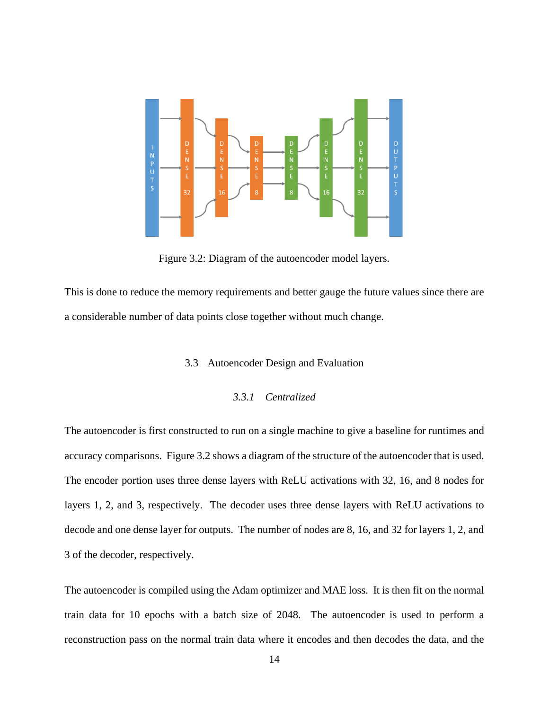

Figure 3.2: Diagram of the autoencoder model layers.

<span id="page-21-2"></span><span id="page-21-0"></span>This is done to reduce the memory requirements and better gauge the future values since there are a considerable number of data points close together without much change.

#### 3.3 Autoencoder Design and Evaluation

#### *3.3.1 Centralized*

<span id="page-21-1"></span>The autoencoder is first constructed to run on a single machine to give a baseline for runtimes and accuracy comparisons. Figure 3.2 shows a diagram of the structure of the autoencoder that is used. The encoder portion uses three dense layers with ReLU activations with 32, 16, and 8 nodes for layers 1, 2, and 3, respectively. The decoder uses three dense layers with ReLU activations to decode and one dense layer for outputs. The number of nodes are 8, 16, and 32 for layers 1, 2, and 3 of the decoder, respectively.

The autoencoder is compiled using the Adam optimizer and MAE loss. It is then fit on the normal train data for 10 epochs with a batch size of 2048. The autoencoder is used to perform a reconstruction pass on the normal train data where it encodes and then decodes the data, and the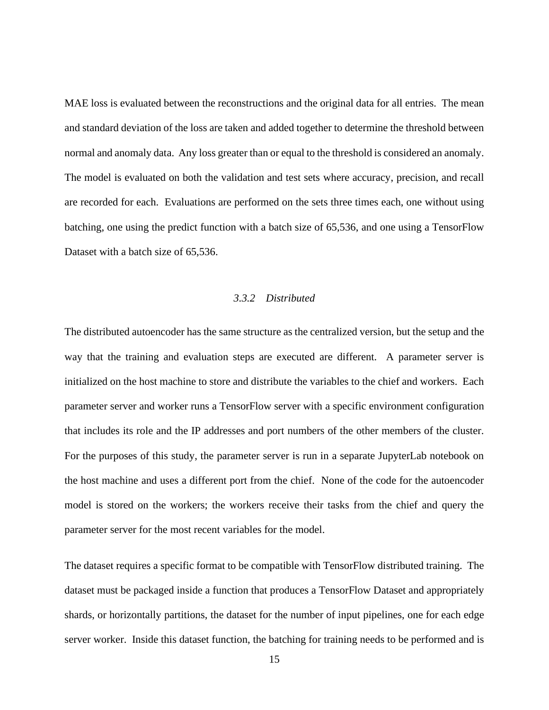MAE loss is evaluated between the reconstructions and the original data for all entries. The mean and standard deviation of the loss are taken and added together to determine the threshold between normal and anomaly data. Any loss greater than or equal to the threshold is considered an anomaly. The model is evaluated on both the validation and test sets where accuracy, precision, and recall are recorded for each. Evaluations are performed on the sets three times each, one without using batching, one using the predict function with a batch size of 65,536, and one using a TensorFlow Dataset with a batch size of 65,536.

#### *3.3.2 Distributed*

<span id="page-22-0"></span>The distributed autoencoder has the same structure as the centralized version, but the setup and the way that the training and evaluation steps are executed are different. A parameter server is initialized on the host machine to store and distribute the variables to the chief and workers. Each parameter server and worker runs a TensorFlow server with a specific environment configuration that includes its role and the IP addresses and port numbers of the other members of the cluster. For the purposes of this study, the parameter server is run in a separate JupyterLab notebook on the host machine and uses a different port from the chief. None of the code for the autoencoder model is stored on the workers; the workers receive their tasks from the chief and query the parameter server for the most recent variables for the model.

The dataset requires a specific format to be compatible with TensorFlow distributed training. The dataset must be packaged inside a function that produces a TensorFlow Dataset and appropriately shards, or horizontally partitions, the dataset for the number of input pipelines, one for each edge server worker. Inside this dataset function, the batching for training needs to be performed and is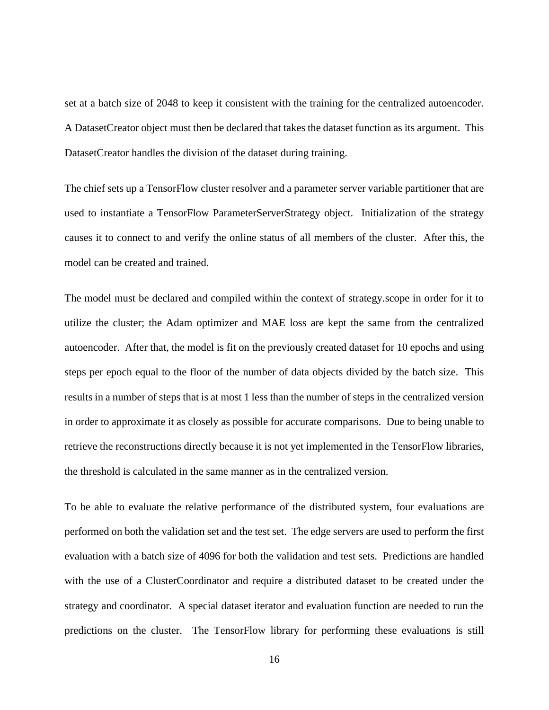set at a batch size of 2048 to keep it consistent with the training for the centralized autoencoder. A DatasetCreator object must then be declared that takes the dataset function as its argument. This DatasetCreator handles the division of the dataset during training.

The chief sets up a TensorFlow cluster resolver and a parameter server variable partitioner that are used to instantiate a TensorFlow ParameterServerStrategy object. Initialization of the strategy causes it to connect to and verify the online status of all members of the cluster. After this, the model can be created and trained.

The model must be declared and compiled within the context of strategy.scope in order for it to utilize the cluster; the Adam optimizer and MAE loss are kept the same from the centralized autoencoder. After that, the model is fit on the previously created dataset for 10 epochs and using steps per epoch equal to the floor of the number of data objects divided by the batch size. This results in a number of steps that is at most 1 less than the number of steps in the centralized version in order to approximate it as closely as possible for accurate comparisons. Due to being unable to retrieve the reconstructions directly because it is not yet implemented in the TensorFlow libraries, the threshold is calculated in the same manner as in the centralized version.

To be able to evaluate the relative performance of the distributed system, four evaluations are performed on both the validation set and the test set. The edge servers are used to perform the first evaluation with a batch size of 4096 for both the validation and test sets. Predictions are handled with the use of a ClusterCoordinator and require a distributed dataset to be created under the strategy and coordinator. A special dataset iterator and evaluation function are needed to run the predictions on the cluster. The TensorFlow library for performing these evaluations is still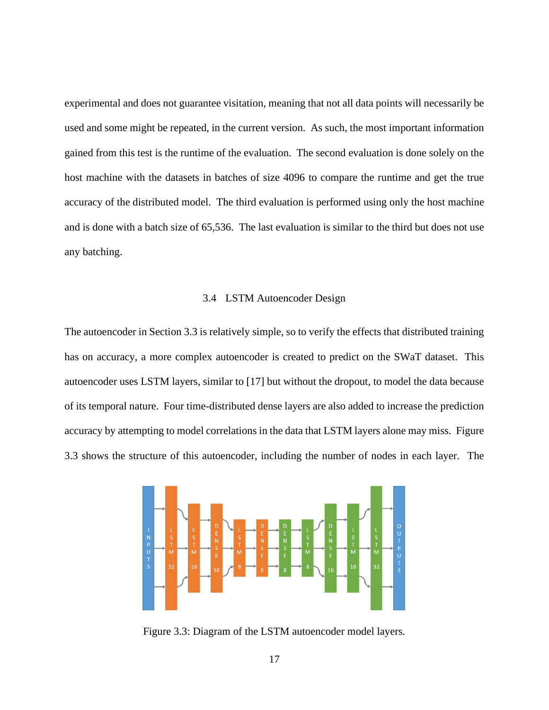experimental and does not guarantee visitation, meaning that not all data points will necessarily be used and some might be repeated, in the current version. As such, the most important information gained from this test is the runtime of the evaluation. The second evaluation is done solely on the host machine with the datasets in batches of size 4096 to compare the runtime and get the true accuracy of the distributed model. The third evaluation is performed using only the host machine and is done with a batch size of 65,536. The last evaluation is similar to the third but does not use any batching.

#### 3.4 LSTM Autoencoder Design

<span id="page-24-0"></span>The autoencoder in Section 3.3 is relatively simple, so to verify the effects that distributed training has on accuracy, a more complex autoencoder is created to predict on the SWaT dataset. This autoencoder uses LSTM layers, similar to [17] but without the dropout, to model the data because of its temporal nature. Four time-distributed dense layers are also added to increase the prediction accuracy by attempting to model correlations in the data that LSTM layers alone may miss. Figure 3.3 shows the structure of this autoencoder, including the number of nodes in each layer. The



<span id="page-24-1"></span>Figure 3.3: Diagram of the LSTM autoencoder model layers.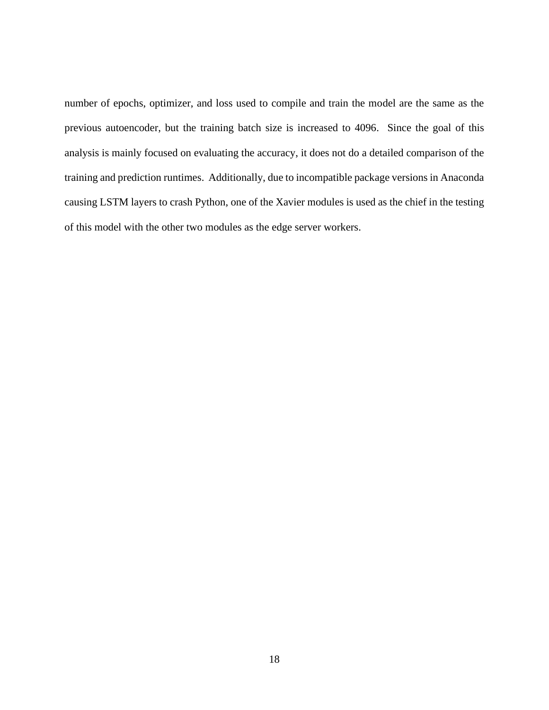number of epochs, optimizer, and loss used to compile and train the model are the same as the previous autoencoder, but the training batch size is increased to 4096. Since the goal of this analysis is mainly focused on evaluating the accuracy, it does not do a detailed comparison of the training and prediction runtimes. Additionally, due to incompatible package versions in Anaconda causing LSTM layers to crash Python, one of the Xavier modules is used as the chief in the testing of this model with the other two modules as the edge server workers.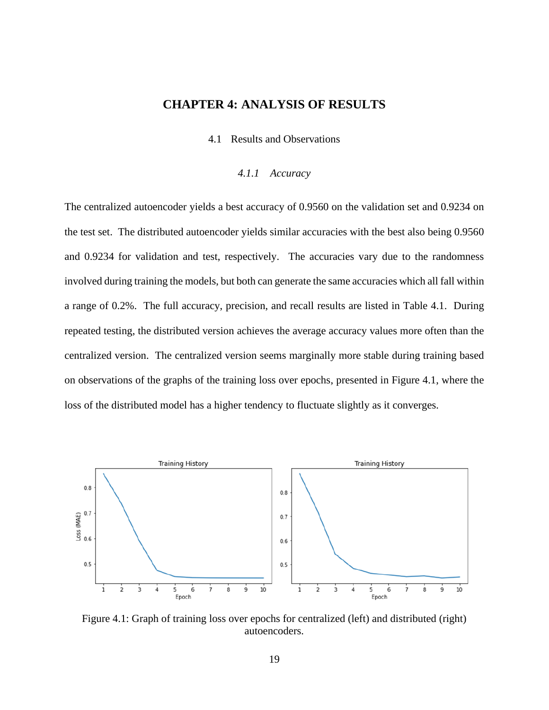## <span id="page-26-0"></span>**CHAPTER 4: ANALYSIS OF RESULTS**

4.1 Results and Observations

#### *4.1.1 Accuracy*

<span id="page-26-2"></span><span id="page-26-1"></span>The centralized autoencoder yields a best accuracy of 0.9560 on the validation set and 0.9234 on the test set. The distributed autoencoder yields similar accuracies with the best also being 0.9560 and 0.9234 for validation and test, respectively. The accuracies vary due to the randomness involved during training the models, but both can generate the same accuracies which all fall within a range of 0.2%. The full accuracy, precision, and recall results are listed in Table 4.1. During repeated testing, the distributed version achieves the average accuracy values more often than the centralized version. The centralized version seems marginally more stable during training based on observations of the graphs of the training loss over epochs, presented in Figure 4.1, where the loss of the distributed model has a higher tendency to fluctuate slightly as it converges.



<span id="page-26-3"></span>Figure 4.1: Graph of training loss over epochs for centralized (left) and distributed (right) autoencoders.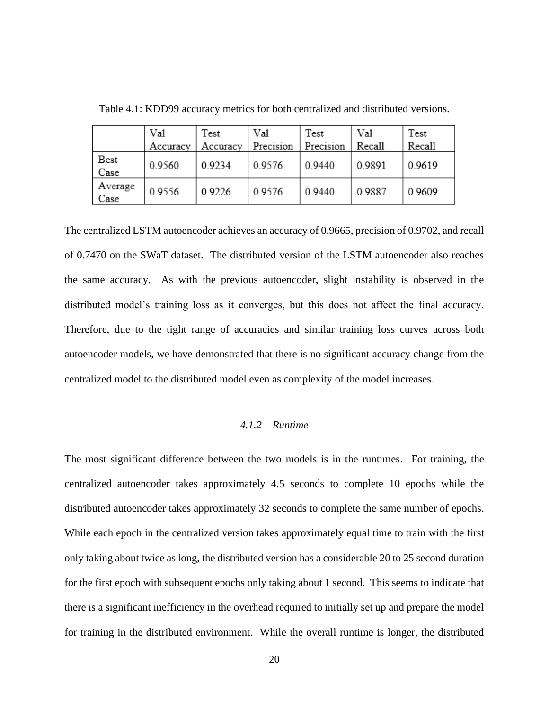|                 | Val      | Test     | Val       | Test      | Val    | Test          |
|-----------------|----------|----------|-----------|-----------|--------|---------------|
|                 | Accuracy | Accuracy | Precision | Precision | Recall | <b>Recall</b> |
| Best<br>Case    | 0.9560   | 0.9234   | 0.9576    | 0.9440    | 0.9891 | 0.9619        |
| Average<br>Case | 0.9556   | 0.9226   | 0.9576    | 0.9440    | 0.9887 | 0.9609        |

<span id="page-27-1"></span>Table 4.1: KDD99 accuracy metrics for both centralized and distributed versions.

The centralized LSTM autoencoder achieves an accuracy of 0.9665, precision of 0.9702, and recall of 0.7470 on the SWaT dataset. The distributed version of the LSTM autoencoder also reaches the same accuracy. As with the previous autoencoder, slight instability is observed in the distributed model's training loss as it converges, but this does not affect the final accuracy. Therefore, due to the tight range of accuracies and similar training loss curves across both autoencoder models, we have demonstrated that there is no significant accuracy change from the centralized model to the distributed model even as complexity of the model increases.

#### *4.1.2 Runtime*

<span id="page-27-0"></span>The most significant difference between the two models is in the runtimes. For training, the centralized autoencoder takes approximately 4.5 seconds to complete 10 epochs while the distributed autoencoder takes approximately 32 seconds to complete the same number of epochs. While each epoch in the centralized version takes approximately equal time to train with the first only taking about twice as long, the distributed version has a considerable 20 to 25 second duration for the first epoch with subsequent epochs only taking about 1 second. This seems to indicate that there is a significant inefficiency in the overhead required to initially set up and prepare the model for training in the distributed environment. While the overall runtime is longer, the distributed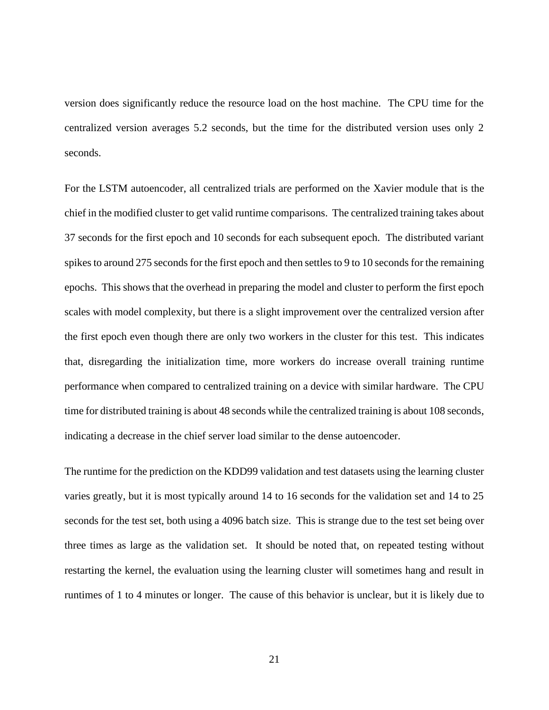version does significantly reduce the resource load on the host machine. The CPU time for the centralized version averages 5.2 seconds, but the time for the distributed version uses only 2 seconds.

For the LSTM autoencoder, all centralized trials are performed on the Xavier module that is the chief in the modified cluster to get valid runtime comparisons. The centralized training takes about 37 seconds for the first epoch and 10 seconds for each subsequent epoch. The distributed variant spikes to around 275 seconds for the first epoch and then settles to 9 to 10 seconds for the remaining epochs. This shows that the overhead in preparing the model and cluster to perform the first epoch scales with model complexity, but there is a slight improvement over the centralized version after the first epoch even though there are only two workers in the cluster for this test. This indicates that, disregarding the initialization time, more workers do increase overall training runtime performance when compared to centralized training on a device with similar hardware. The CPU time for distributed training is about 48 seconds while the centralized training is about 108 seconds, indicating a decrease in the chief server load similar to the dense autoencoder.

The runtime for the prediction on the KDD99 validation and test datasets using the learning cluster varies greatly, but it is most typically around 14 to 16 seconds for the validation set and 14 to 25 seconds for the test set, both using a 4096 batch size. This is strange due to the test set being over three times as large as the validation set. It should be noted that, on repeated testing without restarting the kernel, the evaluation using the learning cluster will sometimes hang and result in runtimes of 1 to 4 minutes or longer. The cause of this behavior is unclear, but it is likely due to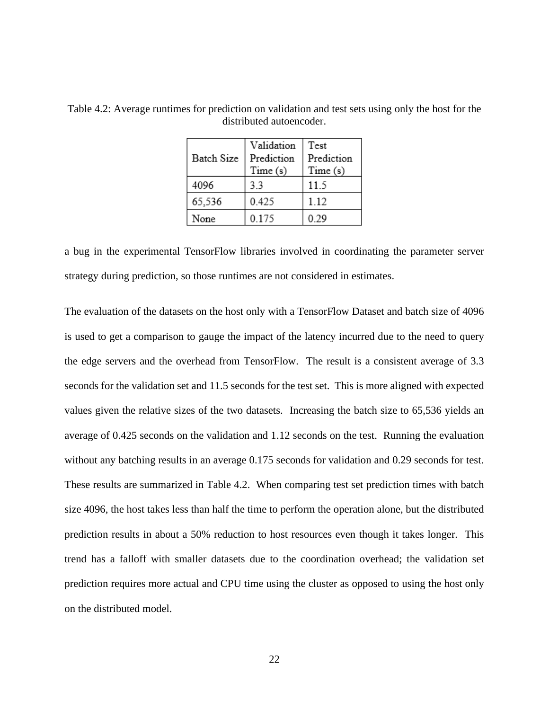| Batch Size | Validation<br>Prediction<br>Time(s) | Test<br>Prediction<br>Time(s) |
|------------|-------------------------------------|-------------------------------|
| 4096       | 33                                  | 11.5                          |
| 65,536     | 0.425                               | 1.12                          |
| None       | 0.175                               | 0.29                          |

<span id="page-29-0"></span>Table 4.2: Average runtimes for prediction on validation and test sets using only the host for the distributed autoencoder.

a bug in the experimental TensorFlow libraries involved in coordinating the parameter server strategy during prediction, so those runtimes are not considered in estimates.

The evaluation of the datasets on the host only with a TensorFlow Dataset and batch size of 4096 is used to get a comparison to gauge the impact of the latency incurred due to the need to query the edge servers and the overhead from TensorFlow. The result is a consistent average of 3.3 seconds for the validation set and 11.5 seconds for the test set. This is more aligned with expected values given the relative sizes of the two datasets. Increasing the batch size to 65,536 yields an average of 0.425 seconds on the validation and 1.12 seconds on the test. Running the evaluation without any batching results in an average 0.175 seconds for validation and 0.29 seconds for test. These results are summarized in Table 4.2. When comparing test set prediction times with batch size 4096, the host takes less than half the time to perform the operation alone, but the distributed prediction results in about a 50% reduction to host resources even though it takes longer. This trend has a falloff with smaller datasets due to the coordination overhead; the validation set prediction requires more actual and CPU time using the cluster as opposed to using the host only on the distributed model.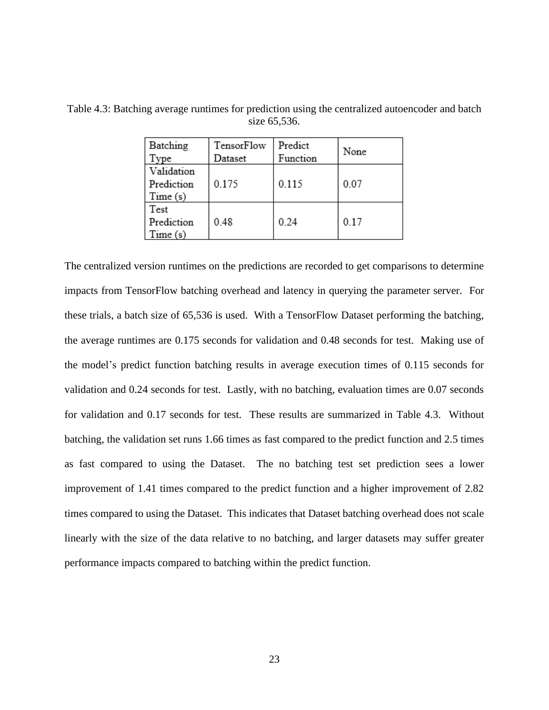| Batching<br>Type                    | TensorFlow<br>Dataset | Predict<br>Function | None |
|-------------------------------------|-----------------------|---------------------|------|
|                                     |                       |                     |      |
| Validation<br>Prediction<br>Time(s) | 0.175                 | 0.115               | 0.07 |
| Test<br>Prediction<br>Time(s)       | 0.48                  | 0.24                | 0.17 |

<span id="page-30-0"></span>Table 4.3: Batching average runtimes for prediction using the centralized autoencoder and batch size 65,536.

The centralized version runtimes on the predictions are recorded to get comparisons to determine impacts from TensorFlow batching overhead and latency in querying the parameter server. For these trials, a batch size of 65,536 is used. With a TensorFlow Dataset performing the batching, the average runtimes are 0.175 seconds for validation and 0.48 seconds for test. Making use of the model's predict function batching results in average execution times of 0.115 seconds for validation and 0.24 seconds for test. Lastly, with no batching, evaluation times are 0.07 seconds for validation and 0.17 seconds for test. These results are summarized in Table 4.3. Without batching, the validation set runs 1.66 times as fast compared to the predict function and 2.5 times as fast compared to using the Dataset. The no batching test set prediction sees a lower improvement of 1.41 times compared to the predict function and a higher improvement of 2.82 times compared to using the Dataset. This indicates that Dataset batching overhead does not scale linearly with the size of the data relative to no batching, and larger datasets may suffer greater performance impacts compared to batching within the predict function.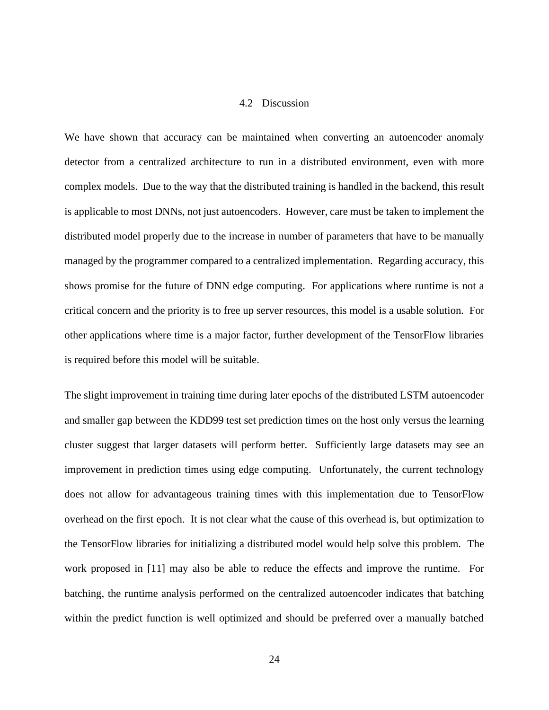#### 4.2 Discussion

<span id="page-31-0"></span>We have shown that accuracy can be maintained when converting an autoencoder anomaly detector from a centralized architecture to run in a distributed environment, even with more complex models. Due to the way that the distributed training is handled in the backend, this result is applicable to most DNNs, not just autoencoders. However, care must be taken to implement the distributed model properly due to the increase in number of parameters that have to be manually managed by the programmer compared to a centralized implementation. Regarding accuracy, this shows promise for the future of DNN edge computing. For applications where runtime is not a critical concern and the priority is to free up server resources, this model is a usable solution. For other applications where time is a major factor, further development of the TensorFlow libraries is required before this model will be suitable.

The slight improvement in training time during later epochs of the distributed LSTM autoencoder and smaller gap between the KDD99 test set prediction times on the host only versus the learning cluster suggest that larger datasets will perform better. Sufficiently large datasets may see an improvement in prediction times using edge computing. Unfortunately, the current technology does not allow for advantageous training times with this implementation due to TensorFlow overhead on the first epoch. It is not clear what the cause of this overhead is, but optimization to the TensorFlow libraries for initializing a distributed model would help solve this problem. The work proposed in [11] may also be able to reduce the effects and improve the runtime. For batching, the runtime analysis performed on the centralized autoencoder indicates that batching within the predict function is well optimized and should be preferred over a manually batched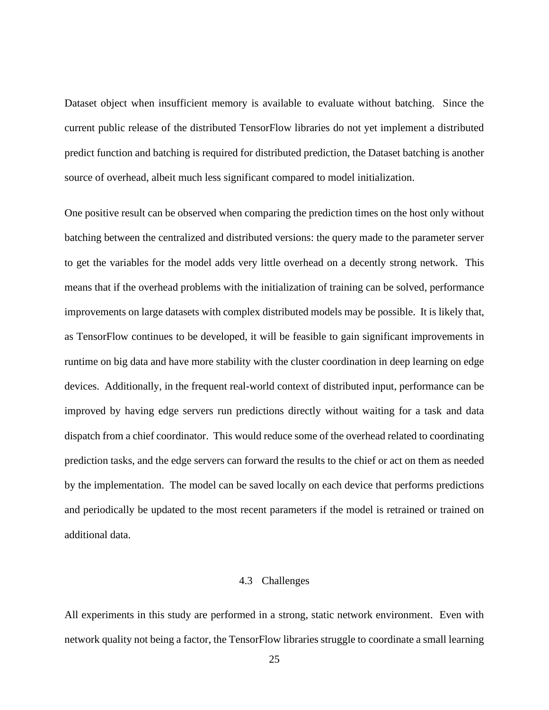Dataset object when insufficient memory is available to evaluate without batching. Since the current public release of the distributed TensorFlow libraries do not yet implement a distributed predict function and batching is required for distributed prediction, the Dataset batching is another source of overhead, albeit much less significant compared to model initialization.

One positive result can be observed when comparing the prediction times on the host only without batching between the centralized and distributed versions: the query made to the parameter server to get the variables for the model adds very little overhead on a decently strong network. This means that if the overhead problems with the initialization of training can be solved, performance improvements on large datasets with complex distributed models may be possible. It is likely that, as TensorFlow continues to be developed, it will be feasible to gain significant improvements in runtime on big data and have more stability with the cluster coordination in deep learning on edge devices. Additionally, in the frequent real-world context of distributed input, performance can be improved by having edge servers run predictions directly without waiting for a task and data dispatch from a chief coordinator. This would reduce some of the overhead related to coordinating prediction tasks, and the edge servers can forward the results to the chief or act on them as needed by the implementation. The model can be saved locally on each device that performs predictions and periodically be updated to the most recent parameters if the model is retrained or trained on additional data.

#### 4.3 Challenges

<span id="page-32-0"></span>All experiments in this study are performed in a strong, static network environment. Even with network quality not being a factor, the TensorFlow libraries struggle to coordinate a small learning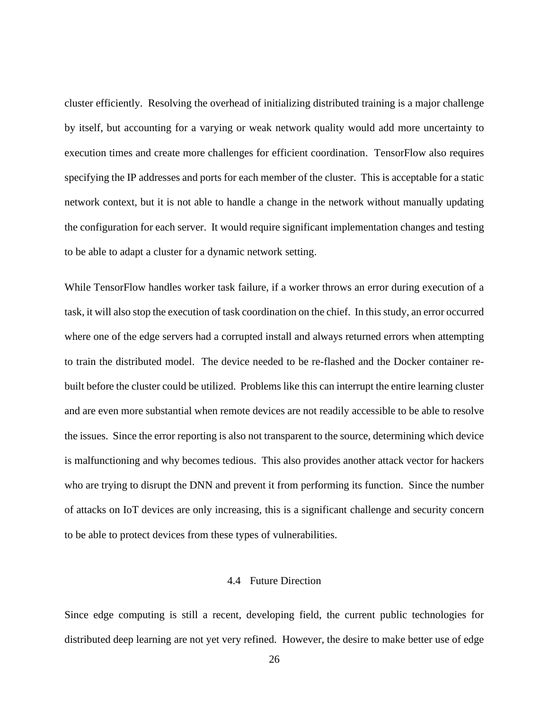cluster efficiently. Resolving the overhead of initializing distributed training is a major challenge by itself, but accounting for a varying or weak network quality would add more uncertainty to execution times and create more challenges for efficient coordination. TensorFlow also requires specifying the IP addresses and ports for each member of the cluster. This is acceptable for a static network context, but it is not able to handle a change in the network without manually updating the configuration for each server. It would require significant implementation changes and testing to be able to adapt a cluster for a dynamic network setting.

While TensorFlow handles worker task failure, if a worker throws an error during execution of a task, it will also stop the execution of task coordination on the chief. In this study, an error occurred where one of the edge servers had a corrupted install and always returned errors when attempting to train the distributed model. The device needed to be re-flashed and the Docker container rebuilt before the cluster could be utilized. Problems like this can interrupt the entire learning cluster and are even more substantial when remote devices are not readily accessible to be able to resolve the issues. Since the error reporting is also not transparent to the source, determining which device is malfunctioning and why becomes tedious. This also provides another attack vector for hackers who are trying to disrupt the DNN and prevent it from performing its function. Since the number of attacks on IoT devices are only increasing, this is a significant challenge and security concern to be able to protect devices from these types of vulnerabilities.

#### 4.4 Future Direction

<span id="page-33-0"></span>Since edge computing is still a recent, developing field, the current public technologies for distributed deep learning are not yet very refined. However, the desire to make better use of edge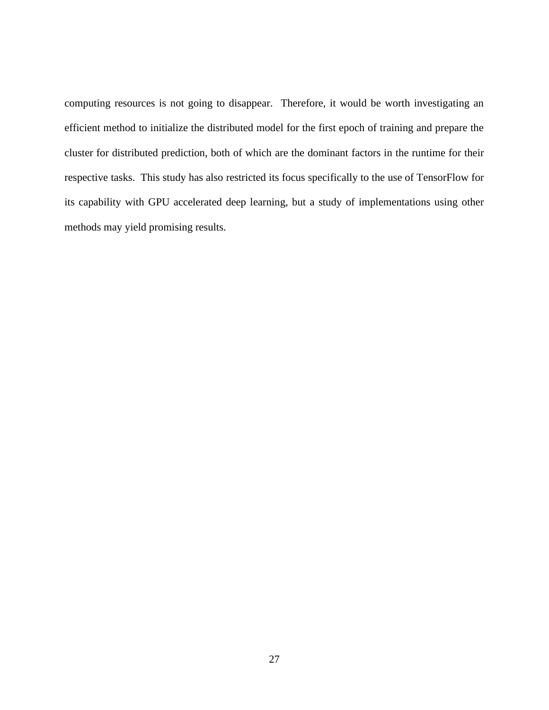computing resources is not going to disappear. Therefore, it would be worth investigating an efficient method to initialize the distributed model for the first epoch of training and prepare the cluster for distributed prediction, both of which are the dominant factors in the runtime for their respective tasks. This study has also restricted its focus specifically to the use of TensorFlow for its capability with GPU accelerated deep learning, but a study of implementations using other methods may yield promising results.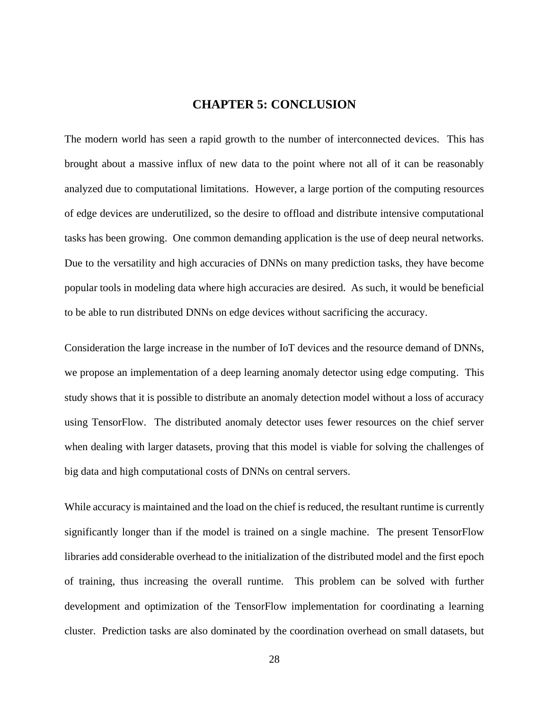## **CHAPTER 5: CONCLUSION**

<span id="page-35-0"></span>The modern world has seen a rapid growth to the number of interconnected devices. This has brought about a massive influx of new data to the point where not all of it can be reasonably analyzed due to computational limitations. However, a large portion of the computing resources of edge devices are underutilized, so the desire to offload and distribute intensive computational tasks has been growing. One common demanding application is the use of deep neural networks. Due to the versatility and high accuracies of DNNs on many prediction tasks, they have become popular tools in modeling data where high accuracies are desired. As such, it would be beneficial to be able to run distributed DNNs on edge devices without sacrificing the accuracy.

Consideration the large increase in the number of IoT devices and the resource demand of DNNs, we propose an implementation of a deep learning anomaly detector using edge computing. This study shows that it is possible to distribute an anomaly detection model without a loss of accuracy using TensorFlow. The distributed anomaly detector uses fewer resources on the chief server when dealing with larger datasets, proving that this model is viable for solving the challenges of big data and high computational costs of DNNs on central servers.

While accuracy is maintained and the load on the chief is reduced, the resultant runtime is currently significantly longer than if the model is trained on a single machine. The present TensorFlow libraries add considerable overhead to the initialization of the distributed model and the first epoch of training, thus increasing the overall runtime. This problem can be solved with further development and optimization of the TensorFlow implementation for coordinating a learning cluster. Prediction tasks are also dominated by the coordination overhead on small datasets, but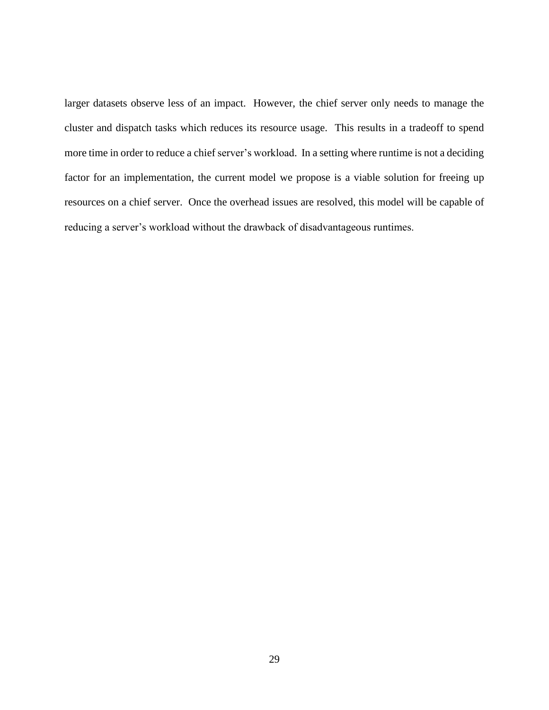larger datasets observe less of an impact. However, the chief server only needs to manage the cluster and dispatch tasks which reduces its resource usage. This results in a tradeoff to spend more time in order to reduce a chief server's workload. In a setting where runtime is not a deciding factor for an implementation, the current model we propose is a viable solution for freeing up resources on a chief server. Once the overhead issues are resolved, this model will be capable of reducing a server's workload without the drawback of disadvantageous runtimes.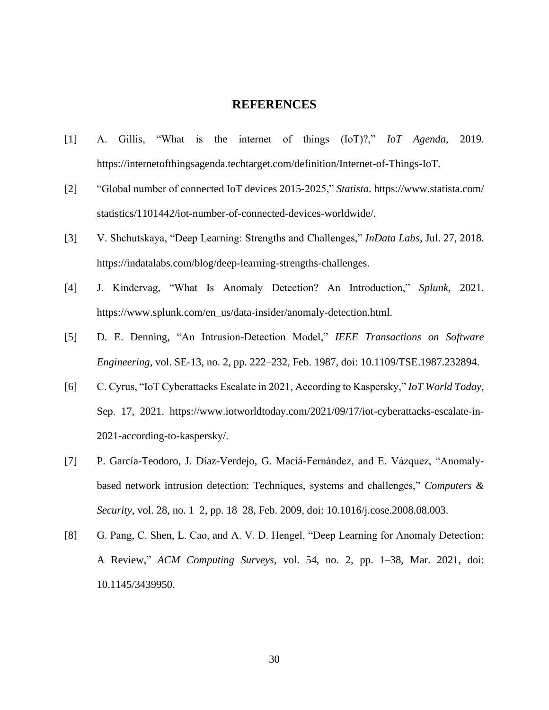#### **REFERENCES**

- <span id="page-37-0"></span>[1] A. Gillis, "What is the internet of things (IoT)?," *IoT Agenda*, 2019. https://internetofthingsagenda.techtarget.com/definition/Internet-of-Things-IoT.
- [2] "Global number of connected IoT devices 2015-2025," *Statista*. https://www.statista.com/ statistics/1101442/iot-number-of-connected-devices-worldwide/.
- [3] V. Shchutskaya, "Deep Learning: Strengths and Challenges," *InData Labs*, Jul. 27, 2018. https://indatalabs.com/blog/deep-learning-strengths-challenges.
- [4] J. Kindervag, "What Is Anomaly Detection? An Introduction," *Splunk*, 2021. https://www.splunk.com/en\_us/data-insider/anomaly-detection.html.
- [5] D. E. Denning, "An Intrusion-Detection Model," *IEEE Transactions on Software Engineering*, vol. SE-13, no. 2, pp. 222–232, Feb. 1987, doi: 10.1109/TSE.1987.232894.
- [6] C. Cyrus, "IoT Cyberattacks Escalate in 2021, According to Kaspersky," *IoT World Today*, Sep. 17, 2021. https://www.iotworldtoday.com/2021/09/17/iot-cyberattacks-escalate-in-2021-according-to-kaspersky/.
- [7] P. García-Teodoro, J. Díaz-Verdejo, G. Maciá-Fernández, and E. Vázquez, "Anomalybased network intrusion detection: Techniques, systems and challenges," *Computers & Security*, vol. 28, no. 1–2, pp. 18–28, Feb. 2009, doi: 10.1016/j.cose.2008.08.003.
- [8] G. Pang, C. Shen, L. Cao, and A. V. D. Hengel, "Deep Learning for Anomaly Detection: A Review," *ACM Computing Surveys*, vol. 54, no. 2, pp. 1–38, Mar. 2021, doi: 10.1145/3439950.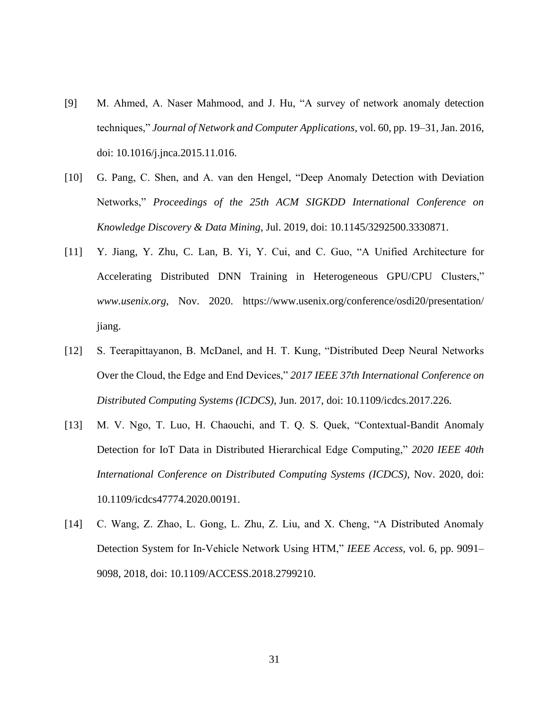- [9] M. Ahmed, A. Naser Mahmood, and J. Hu, "A survey of network anomaly detection techniques," *Journal of Network and Computer Applications*, vol. 60, pp. 19–31, Jan. 2016, doi: 10.1016/j.jnca.2015.11.016.
- [10] G. Pang, C. Shen, and A. van den Hengel, "Deep Anomaly Detection with Deviation Networks," *Proceedings of the 25th ACM SIGKDD International Conference on Knowledge Discovery & Data Mining*, Jul. 2019, doi: 10.1145/3292500.3330871.
- [11] Y. Jiang, Y. Zhu, C. Lan, B. Yi, Y. Cui, and C. Guo, "A Unified Architecture for Accelerating Distributed DNN Training in Heterogeneous GPU/CPU Clusters," *www.usenix.org*, Nov. 2020. https://www.usenix.org/conference/osdi20/presentation/ jiang.
- [12] S. Teerapittayanon, B. McDanel, and H. T. Kung, "Distributed Deep Neural Networks Over the Cloud, the Edge and End Devices," *2017 IEEE 37th International Conference on Distributed Computing Systems (ICDCS)*, Jun. 2017, doi: 10.1109/icdcs.2017.226.
- [13] M. V. Ngo, T. Luo, H. Chaouchi, and T. Q. S. Quek, "Contextual-Bandit Anomaly Detection for IoT Data in Distributed Hierarchical Edge Computing," *2020 IEEE 40th International Conference on Distributed Computing Systems (ICDCS)*, Nov. 2020, doi: 10.1109/icdcs47774.2020.00191.
- [14] C. Wang, Z. Zhao, L. Gong, L. Zhu, Z. Liu, and X. Cheng, "A Distributed Anomaly Detection System for In-Vehicle Network Using HTM," *IEEE Access*, vol. 6, pp. 9091– 9098, 2018, doi: 10.1109/ACCESS.2018.2799210.